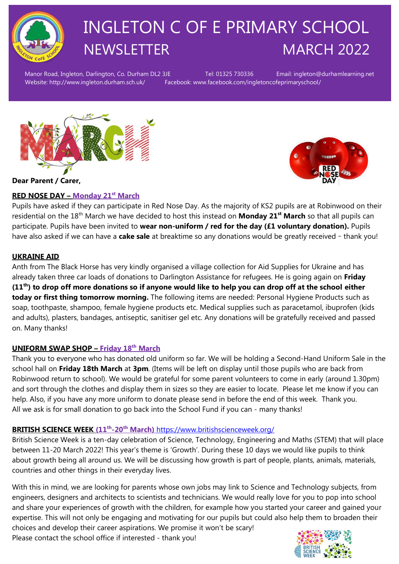

# INGLETON C OF E PRIMARY SCHOOL NEWSLETTER MARCH 2022

Manor Road, Ingleton, Darlington, Co. Durham DL2 3JE Tel: 01325 730336 Email: ingleton@durhamlearning.net Website: http://www.ingleton.durham.sch.uk/ Facebook: www.facebook.com/ingletoncofeprimaryschool/

# **Dear Parent / Carer,**

# **RED NOSE DAY – Monday 21st March**

Pupils have asked if they can participate in Red Nose Day. As the majority of KS2 pupils are at Robinwood on their residential on the 18th March we have decided to host this instead on **Monday 21 st March** so that all pupils can participate. Pupils have been invited to **wear non-uniform / red for the day (£1 voluntary donation).** Pupils have also asked if we can have a **cake sale** at breaktime so any donations would be greatly received – thank you!

# **UKRAINE AID**

Anth from The Black Horse has very kindly organised a village collection for Aid Supplies for Ukraine and has already taken three car loads of donations to Darlington Assistance for refugees. He is going again on **Friday (11th) to drop off more donations so if anyone would like to help you can drop off at the school either today or first thing tomorrow morning.** The following items are needed: Personal Hygiene Products such as soap, toothpaste, shampoo, female hygiene products etc. Medical supplies such as paracetamol, ibuprofen (kids and adults), plasters, bandages, antiseptic, sanitiser gel etc. Any donations will be gratefully received and passed on. Many thanks!

# **UNIFORM SWAP SHOP – Friday 18th March**

Thank you to everyone who has donated old uniform so far. We will be holding a Second-Hand Uniform Sale in the school hall on **Friday 18th March** at **3pm**. (Items will be left on display until those pupils who are back from Robinwood return to school). We would be grateful for some parent volunteers to come in early (around 1.30pm) and sort through the clothes and display them in sizes so they are easier to locate. Please let me know if you can help. Also, if you have any more uniform to donate please send in before the end of this week. Thank you. All we ask is for small donation to go back into the School Fund if you can - many thanks!

## **BRITISH SCIENCE WEEK (11th -20th March)** <https://www.britishscienceweek.org/>

British Science Week is a ten-day celebration of Science, Technology, Engineering and Maths (STEM) that will place between 11-20 March 2022! This year's theme is 'Growth'. During these 10 days we would like pupils to think about growth being all around us. We will be discussing how growth is part of people, plants, animals, materials, countries and other things in their everyday lives.

With this in mind, we are looking for parents whose own jobs may link to Science and Technology subjects, from engineers, designers and architects to scientists and technicians. We would really love for you to pop into school and share your experiences of growth with the children, for example how you started your career and gained your expertise. This will not only be engaging and motivating for our pupils but could also help them to broaden their choices and develop their career aspirations. We promise it won't be scary!

Please contact the school office if interested - thank you!

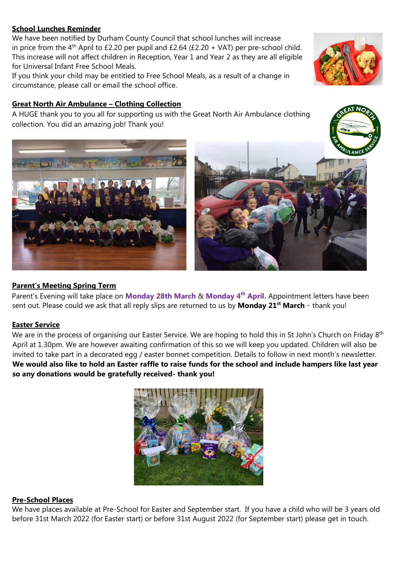#### **School Lunches Reminder**

We have been notified by Durham County Council that school lunches will increase in price from the 4<sup>th</sup> April to £2.20 per pupil and £2.64 (£2.20 + VAT) per pre-school child. This increase will not affect children in Reception, Year 1 and Year 2 as they are all eligible for Universal Infant Free School Meals.

If you think your child may be entitled to Free School Meals, as a result of a change in circumstance, please call or email the school office.

## **Great North Air Ambulance – Clothing Collection**

A HUGE thank you to you all for supporting us with the Great North Air Ambulance clothing collection. You did an amazing job! Thank you!

# **Parent's Meeting Spring Term**

Parent's Evening will take place on **Monday 28th March** & **Monday 4th April.** Appointment letters have been sent out. Please could we ask that all reply slips are returned to us by **Monday 21st March** – thank you!

## **Easter Service**

We are in the process of organising our Easter Service. We are hoping to hold this in St John's Church on Friday 8<sup>th</sup> April at 1.30pm. We are however awaiting confirmation of this so we will keep you updated. Children will also be invited to take part in a decorated egg / easter bonnet competition. Details to follow in next month's newsletter. **We would also like to hold an Easter raffle to raise funds for the school and include hampers like last year so any donations would be gratefully received- thank you!** 



We have places available at Pre-School for Easter and September start. If you have a child who will be 3 years old before 31st March 2022 (for Easter start) or before 31st August 2022 (for September start) please get in touch.







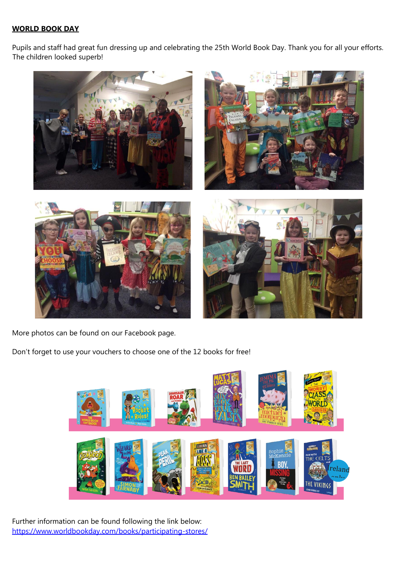#### **WORLD BOOK DAY**

Pupils and staff had great fun dressing up and celebrating the 25th World Book Day. Thank you for all your efforts. The children looked superb!



More photos can be found on our Facebook page.

Don't forget to use your vouchers to choose one of the 12 books for free!



Further information can be found following the link below: <https://www.worldbookday.com/books/participating-stores/>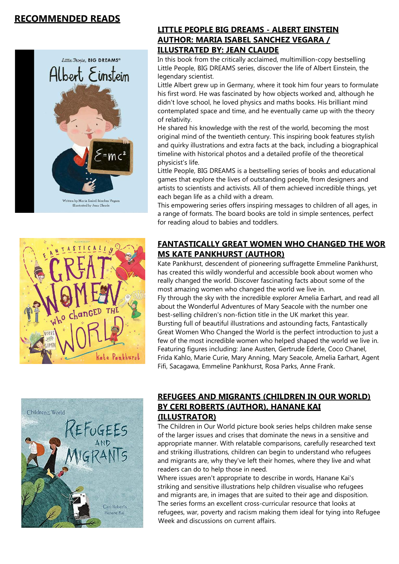# **RECOMMENDED READS**





# **LITTLE PEOPLE BIG DREAMS - ALBERT EINSTEIN AUTHOR: MARIA ISABEL SANCHEZ VEGARA / ILLUSTRATED BY: JEAN CLAUDE**

In this book from the critically acclaimed, multimillion-copy bestselling Little People, BIG DREAMS series, discover the life of Albert Einstein, the legendary scientist.

Little Albert grew up in Germany, where it took him four years to formulate his first word. He was fascinated by how objects worked and, although he didn't love school, he loved physics and maths books. His brilliant mind contemplated space and time, and he eventually came up with the theory of relativity.

He shared his knowledge with the rest of the world, becoming the most original mind of the twentieth century. This inspiring book features stylish and quirky illustrations and extra facts at the back, including a biographical timeline with historical photos and a detailed profile of the theoretical physicist's life.

Little People, BIG DREAMS is a bestselling series of books and educational games that explore the lives of outstanding people, from designers and artists to scientists and activists. All of them achieved incredible things, yet each began life as a child with a dream.

This empowering series offers inspiring messages to children of all ages, in a range of formats. The board books are told in simple sentences, perfect for reading aloud to babies and toddlers.

# **FANTASTICALLY GREAT WOMEN WHO CHANGED THE WOR MS KATE PANKHURST (AUTHOR)**

Kate Pankhurst, descendent of pioneering suffragette Emmeline Pankhurst, has created this wildly wonderful and accessible book about women who really changed the world. Discover fascinating facts about some of the most amazing women who changed the world we live in. Fly through the sky with the incredible explorer Amelia Earhart, and read all about the Wonderful Adventures of Mary Seacole with the number one best-selling children's non-fiction title in the UK market this year. Bursting full of beautiful illustrations and astounding facts, Fantastically Great Women Who Changed the World is the perfect introduction to just a few of the most incredible women who helped shaped the world we live in. Featuring figures including: Jane Austen, Gertrude Ederle, Coco Chanel, Frida Kahlo, Marie Curie, Mary Anning, Mary Seacole, Amelia Earhart, Agent Fifi, Sacagawa, Emmeline Pankhurst, Rosa Parks, Anne Frank.



# **REFUGEES AND MIGRANTS (CHILDREN IN OUR WORLD) BY CERI ROBERTS (AUTHOR), HANANE KAI (ILLUSTRATOR)**

The Children in Our World picture book series helps children make sense of the larger issues and crises that dominate the news in a sensitive and appropriate manner. With relatable comparisons, carefully researched text and striking illustrations, children can begin to understand who refugees and migrants are, why they've left their homes, where they live and what readers can do to help those in need.

Where issues aren't appropriate to describe in words, Hanane Kai's striking and sensitive illustrations help children visualise who refugees and migrants are, in images that are suited to their age and disposition. The series forms an excellent cross-curricular resource that looks at refugees, war, poverty and racism making them ideal for tying into Refugee Week and discussions on current affairs.